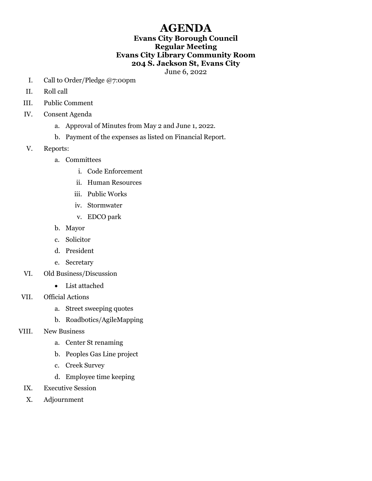## AGENDA

## Evans City Borough Council Regular Meeting Evans City Library Community Room 204 S. Jackson St, Evans City

June 6, 2022

- I. Call to Order/Pledge @7:00pm
- II. Roll call
- III. Public Comment
- IV. Consent Agenda
	- a. Approval of Minutes from May 2 and June 1, 2022.
	- b. Payment of the expenses as listed on Financial Report.
- V. Reports:
	- a. Committees
		- i. Code Enforcement
		- ii. Human Resources
		- iii. Public Works
		- iv. Stormwater
		- v. EDCO park
	- b. Mayor
	- c. Solicitor
	- d. President
	- e. Secretary
- VI. Old Business/Discussion
	- List attached
- VII. Official Actions
	- a. Street sweeping quotes
	- b. Roadbotics/AgileMapping
- VIII. New Business
	- a. Center St renaming
	- b. Peoples Gas Line project
	- c. Creek Survey
	- d. Employee time keeping
	- IX. Executive Session
	- X. Adjournment